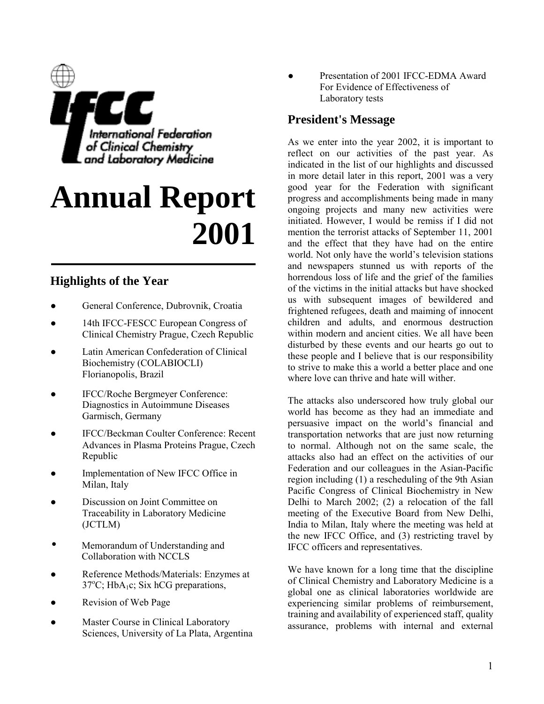

# **Annual Report 2001**

# **Highlights of the Year**

- General Conference, Dubrovnik, Croatia
- 14th IFCC-FESCC European Congress of Clinical Chemistry Prague, Czech Republic
- Latin American Confederation of Clinical Biochemistry (COLABIOCLI) Florianopolis, Brazil
- IFCC/Roche Bergmeyer Conference: Diagnostics in Autoimmune Diseases Garmisch, Germany
- IFCC/Beckman Coulter Conference: Recent Advances in Plasma Proteins Prague, Czech Republic
- Implementation of New IFCC Office in Milan, Italy
- Discussion on Joint Committee on Traceability in Laboratory Medicine (JCTLM)
- Memorandum of Understanding and Collaboration with NCCLS
- Reference Methods/Materials: Enzymes at  $37^{\circ}$ C; HbA<sub>1</sub>c; Six hCG preparations,
- Revision of Web Page
- Master Course in Clinical Laboratory Sciences, University of La Plata, Argentina

Presentation of 2001 IFCC-EDMA Award For Evidence of Effectiveness of Laboratory tests

# **President's Message**

As we enter into the year 2002, it is important to reflect on our activities of the past year. As indicated in the list of our highlights and discussed in more detail later in this report, 2001 was a very good year for the Federation with significant progress and accomplishments being made in many ongoing projects and many new activities were initiated. However, I would be remiss if I did not mention the terrorist attacks of September 11, 2001 and the effect that they have had on the entire world. Not only have the world's television stations and newspapers stunned us with reports of the horrendous loss of life and the grief of the families of the victims in the initial attacks but have shocked us with subsequent images of bewildered and frightened refugees, death and maiming of innocent children and adults, and enormous destruction within modern and ancient cities. We all have been disturbed by these events and our hearts go out to these people and I believe that is our responsibility to strive to make this a world a better place and one where love can thrive and hate will wither.

The attacks also underscored how truly global our world has become as they had an immediate and persuasive impact on the world's financial and transportation networks that are just now returning to normal. Although not on the same scale, the attacks also had an effect on the activities of our Federation and our colleagues in the Asian-Pacific region including (1) a rescheduling of the 9th Asian Pacific Congress of Clinical Biochemistry in New Delhi to March 2002; (2) a relocation of the fall meeting of the Executive Board from New Delhi, India to Milan, Italy where the meeting was held at the new IFCC Office, and (3) restricting travel by IFCC officers and representatives.

We have known for a long time that the discipline of Clinical Chemistry and Laboratory Medicine is a global one as clinical laboratories worldwide are experiencing similar problems of reimbursement, training and availability of experienced staff, quality assurance, problems with internal and external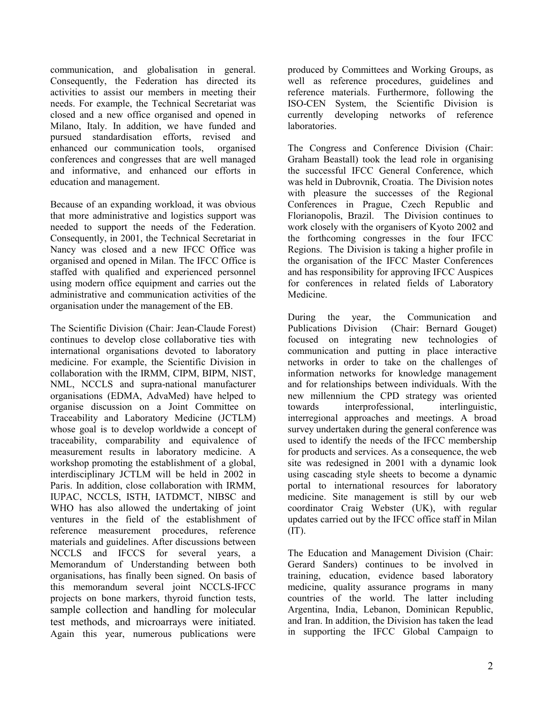communication, and globalisation in general. Consequently, the Federation has directed its activities to assist our members in meeting their needs. For example, the Technical Secretariat was closed and a new office organised and opened in Milano, Italy. In addition, we have funded and pursued standardisation efforts, revised and enhanced our communication tools, organised conferences and congresses that are well managed and informative, and enhanced our efforts in education and management.

Because of an expanding workload, it was obvious that more administrative and logistics support was needed to support the needs of the Federation. Consequently, in 2001, the Technical Secretariat in Nancy was closed and a new IFCC Office was organised and opened in Milan. The IFCC Office is staffed with qualified and experienced personnel using modern office equipment and carries out the administrative and communication activities of the organisation under the management of the EB.

The Scientific Division (Chair: Jean-Claude Forest) continues to develop close collaborative ties with international organisations devoted to laboratory medicine. For example, the Scientific Division in collaboration with the IRMM, CIPM, BIPM, NIST, NML, NCCLS and supra-national manufacturer organisations (EDMA, AdvaMed) have helped to organise discussion on a Joint Committee on Traceability and Laboratory Medicine (JCTLM) whose goal is to develop worldwide a concept of traceability, comparability and equivalence of measurement results in laboratory medicine. A workshop promoting the establishment of a global, interdisciplinary JCTLM will be held in 2002 in Paris. In addition, close collaboration with IRMM, IUPAC, NCCLS, ISTH, IATDMCT, NIBSC and WHO has also allowed the undertaking of joint ventures in the field of the establishment of reference measurement procedures, reference materials and guidelines. After discussions between NCCLS and IFCCS for several years, a Memorandum of Understanding between both organisations, has finally been signed. On basis of this memorandum several joint NCCLS-IFCC projects on bone markers, thyroid function tests, sample collection and handling for molecular test methods, and microarrays were initiated. Again this year, numerous publications were

produced by Committees and Working Groups, as well as reference procedures, guidelines and reference materials. Furthermore, following the ISO-CEN System, the Scientific Division is currently developing networks of reference laboratories.

The Congress and Conference Division (Chair: Graham Beastall) took the lead role in organising the successful IFCC General Conference, which was held in Dubrovnik, Croatia. The Division notes with pleasure the successes of the Regional Conferences in Prague, Czech Republic and Florianopolis, Brazil. The Division continues to work closely with the organisers of Kyoto 2002 and the forthcoming congresses in the four IFCC Regions. The Division is taking a higher profile in the organisation of the IFCC Master Conferences and has responsibility for approving IFCC Auspices for conferences in related fields of Laboratory Medicine.

During the year, the Communication and Publications Division (Chair: Bernard Gouget) focused on integrating new technologies of communication and putting in place interactive networks in order to take on the challenges of information networks for knowledge management and for relationships between individuals. With the new millennium the CPD strategy was oriented towards interprofessional, interlinguistic, interregional approaches and meetings. A broad survey undertaken during the general conference was used to identify the needs of the IFCC membership for products and services. As a consequence, the web site was redesigned in 2001 with a dynamic look using cascading style sheets to become a dynamic portal to international resources for laboratory medicine. Site management is still by our web coordinator Craig Webster (UK), with regular updates carried out by the IFCC office staff in Milan  $(TT)$ .

The Education and Management Division (Chair: Gerard Sanders) continues to be involved in training, education, evidence based laboratory medicine, quality assurance programs in many countries of the world. The latter including Argentina, India, Lebanon, Dominican Republic, and Iran. In addition, the Division has taken the lead in supporting the IFCC Global Campaign to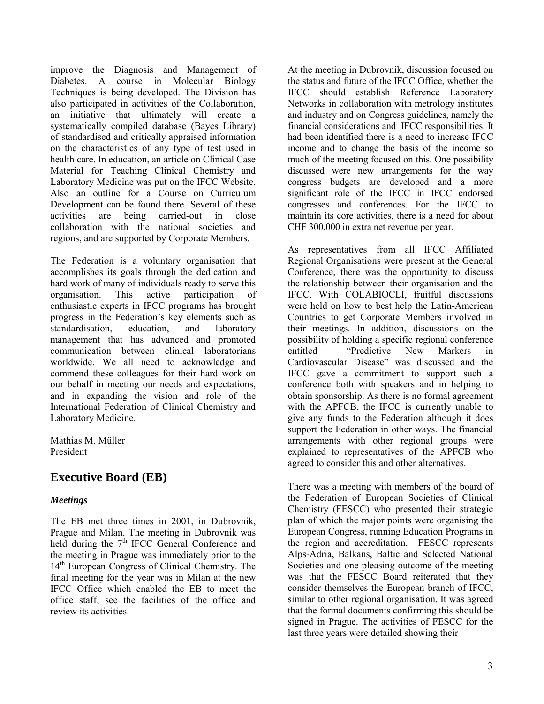improve the Diagnosis and Management of Diabetes. A course in Molecular Biology Techniques is being developed. The Division has also participated in activities of the Collaboration, an initiative that ultimately will create a systematically compiled database (Bayes Library) of standardised and critically appraised information on the characteristics of any type of test used in health care. In education, an article on Clinical Case Material for Teaching Clinical Chemistry and Laboratory Medicine was put on the IFCC Website. Also an outline for a Course on Curriculum Development can be found there. Several of these activities are being carried-out in close collaboration with the national societies and regions, and are supported by Corporate Members.

The Federation is a voluntary organisation that accomplishes its goals through the dedication and hard work of many of individuals ready to serve this organisation. This active participation of enthusiastic experts in IFCC programs has brought progress in the Federation's key elements such as standardisation, education, and laboratory management that has advanced and promoted communication between clinical laboratorians worldwide. We all need to acknowledge and commend these colleagues for their hard work on our behalf in meeting our needs and expectations, and in expanding the vision and role of the International Federation of Clinical Chemistry and Laboratory Medicine.

Mathias M. Müller President

# **Executive Board (EB)**

#### *Meetings*

The EB met three times in 2001, in Dubrovnik, Prague and Milan. The meeting in Dubrovnik was held during the 7<sup>th</sup> IFCC General Conference and the meeting in Prague was immediately prior to the 14<sup>th</sup> European Congress of Clinical Chemistry. The final meeting for the year was in Milan at the new IFCC Office which enabled the EB to meet the office staff, see the facilities of the office and review its activities.

At the meeting in Dubrovnik, discussion focused on the status and future of the IFCC Office, whether the IFCC should establish Reference Laboratory Networks in collaboration with metrology institutes and industry and on Congress guidelines, namely the financial considerations and IFCC responsibilities. It had been identified there is a need to increase IFCC income and to change the basis of the income so much of the meeting focused on this. One possibility discussed were new arrangements for the way congress budgets are developed and a more significant role of the IFCC in IFCC endorsed congresses and conferences. For the IFCC to maintain its core activities, there is a need for about CHF 300,000 in extra net revenue per year.

As representatives from all IFCC Affiliated Regional Organisations were present at the General Conference, there was the opportunity to discuss the relationship between their organisation and the IFCC. With COLABIOCLI, fruitful discussions were held on how to best help the Latin-American Countries to get Corporate Members involved in their meetings. In addition, discussions on the possibility of holding a specific regional conference entitled *iPredictive* New Markers in Cardiovascular Disease" was discussed and the IFCC gave a commitment to support such a conference both with speakers and in helping to obtain sponsorship. As there is no formal agreement with the APFCB, the IFCC is currently unable to give any funds to the Federation although it does support the Federation in other ways. The financial arrangements with other regional groups were explained to representatives of the APFCB who agreed to consider this and other alternatives.

There was a meeting with members of the board of the Federation of European Societies of Clinical Chemistry (FESCC) who presented their strategic plan of which the major points were organising the European Congress, running Education Programs in the region and accreditation. FESCC represents Alps-Adria, Balkans, Baltic and Selected National Societies and one pleasing outcome of the meeting was that the FESCC Board reiterated that they consider themselves the European branch of IFCC, similar to other regional organisation. It was agreed that the formal documents confirming this should be signed in Prague. The activities of FESCC for the last three years were detailed showing their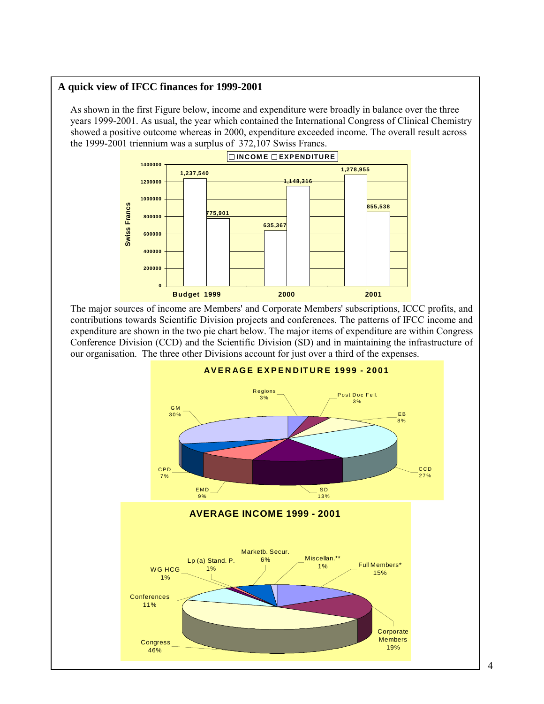#### **A quick view of IFCC finances for 1999-2001**

As shown in the first Figure below, income and expenditure were broadly in balance over the three years 1999-2001. As usual, the year which contained the International Congress of Clinical Chemistry showed a positive outcome whereas in 2000, expenditure exceeded income. The overall result across the 1999-2001 triennium was a surplus of 372,107 Swiss Francs.



The major sources of income are Members' and Corporate Members' subscriptions, ICCC profits, and contributions towards Scientific Division projects and conferences. The patterns of IFCC income and expenditure are shown in the two pie chart below. The major items of expenditure are within Congress Conference Division (CCD) and the Scientific Division (SD) and in maintaining the infrastructure of our organisation. The three other Divisions account for just over a third of the expenses.

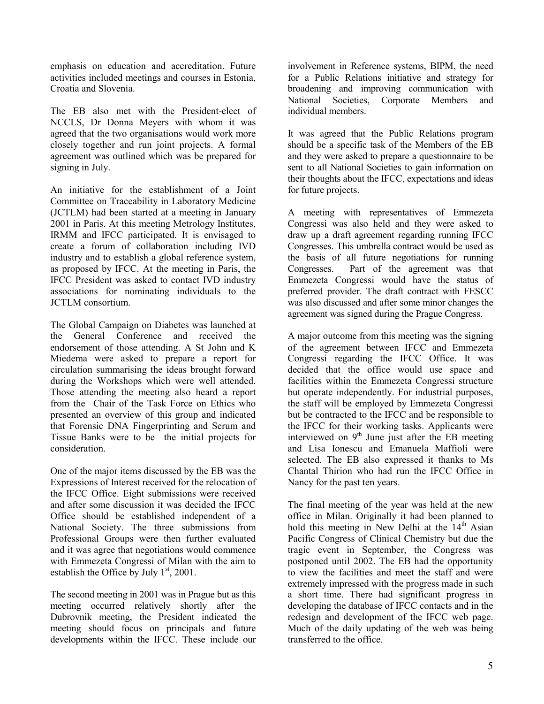emphasis on education and accreditation. Future activities included meetings and courses in Estonia, Croatia and Slovenia.

The EB also met with the President-elect of NCCLS, Dr Donna Meyers with whom it was agreed that the two organisations would work more closely together and run joint projects. A formal agreement was outlined which was be prepared for signing in July.

An initiative for the establishment of a Joint Committee on Traceability in Laboratory Medicine (JCTLM) had been started at a meeting in January 2001 in Paris. At this meeting Metrology Institutes, IRMM and IFCC participated. It is envisaged to create a forum of collaboration including IVD industry and to establish a global reference system, as proposed by IFCC. At the meeting in Paris, the IFCC President was asked to contact IVD industry associations for nominating individuals to the JCTLM consortium.

The Global Campaign on Diabetes was launched at the General Conference and received the endorsement of those attending. A St John and K Miedema were asked to prepare a report for circulation summarising the ideas brought forward during the Workshops which were well attended. Those attending the meeting also heard a report from the Chair of the Task Force on Ethics who presented an overview of this group and indicated that Forensic DNA Fingerprinting and Serum and Tissue Banks were to be the initial projects for consideration.

One of the major items discussed by the EB was the Expressions of Interest received for the relocation of the IFCC Office. Eight submissions were received and after some discussion it was decided the IFCC Office should be established independent of a National Society. The three submissions from Professional Groups were then further evaluated and it was agree that negotiations would commence with Emmezeta Congressi of Milan with the aim to establish the Office by July  $1<sup>st</sup>$ , 2001.

The second meeting in 2001 was in Prague but as this meeting occurred relatively shortly after the Dubrovnik meeting, the President indicated the meeting should focus on principals and future developments within the IFCC. These include our

involvement in Reference systems, BIPM, the need for a Public Relations initiative and strategy for broadening and improving communication with National Societies, Corporate Members and individual members.

It was agreed that the Public Relations program should be a specific task of the Members of the EB and they were asked to prepare a questionnaire to be sent to all National Societies to gain information on their thoughts about the IFCC, expectations and ideas for future projects.

A meeting with representatives of Emmezeta Congressi was also held and they were asked to draw up a draft agreement regarding running IFCC Congresses. This umbrella contract would be used as the basis of all future negotiations for running Congresses. Part of the agreement was that Emmezeta Congressi would have the status of preferred provider. The draft contract with FESCC was also discussed and after some minor changes the agreement was signed during the Prague Congress.

A major outcome from this meeting was the signing of the agreement between IFCC and Emmezeta Congressi regarding the IFCC Office. It was decided that the office would use space and facilities within the Emmezeta Congressi structure but operate independently. For industrial purposes, the staff will be employed by Emmezeta Congressi but be contracted to the IFCC and be responsible to the IFCC for their working tasks. Applicants were interviewed on  $9<sup>th</sup>$  June just after the EB meeting and Lisa Ionescu and Emanuela Maffioli were selected. The EB also expressed it thanks to Ms Chantal Thirion who had run the IFCC Office in Nancy for the past ten years.

The final meeting of the year was held at the new office in Milan. Originally it had been planned to hold this meeting in New Delhi at the  $14<sup>th</sup>$  Asian Pacific Congress of Clinical Chemistry but due the tragic event in September, the Congress was postponed until 2002. The EB had the opportunity to view the facilities and meet the staff and were extremely impressed with the progress made in such a short time. There had significant progress in developing the database of IFCC contacts and in the redesign and development of the IFCC web page. Much of the daily updating of the web was being transferred to the office.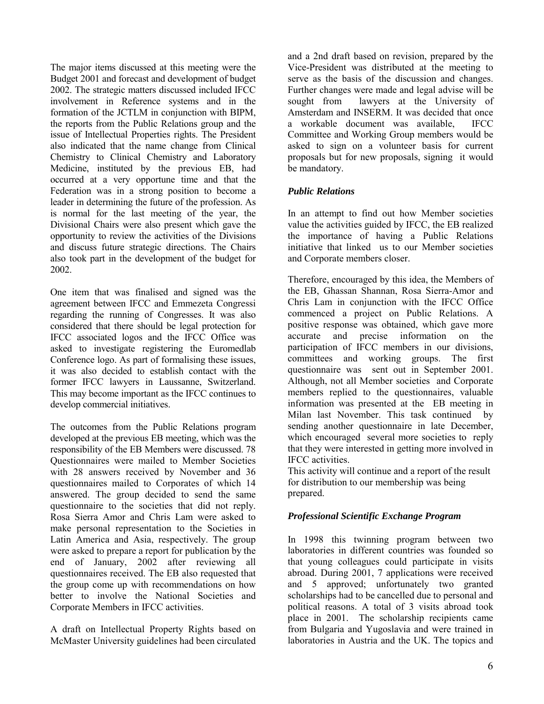The major items discussed at this meeting were the Budget 2001 and forecast and development of budget 2002. The strategic matters discussed included IFCC involvement in Reference systems and in the formation of the JCTLM in conjunction with BIPM, the reports from the Public Relations group and the issue of Intellectual Properties rights. The President also indicated that the name change from Clinical Chemistry to Clinical Chemistry and Laboratory Medicine, instituted by the previous EB, had occurred at a very opportune time and that the Federation was in a strong position to become a leader in determining the future of the profession. As is normal for the last meeting of the year, the Divisional Chairs were also present which gave the opportunity to review the activities of the Divisions and discuss future strategic directions. The Chairs also took part in the development of the budget for 2002.

One item that was finalised and signed was the agreement between IFCC and Emmezeta Congressi regarding the running of Congresses. It was also considered that there should be legal protection for IFCC associated logos and the IFCC Office was asked to investigate registering the Euromedlab Conference logo. As part of formalising these issues, it was also decided to establish contact with the former IFCC lawyers in Laussanne, Switzerland. This may become important as the IFCC continues to develop commercial initiatives.

The outcomes from the Public Relations program developed at the previous EB meeting, which was the responsibility of the EB Members were discussed. 78 Questionnaires were mailed to Member Societies with 28 answers received by November and 36 questionnaires mailed to Corporates of which 14 answered. The group decided to send the same questionnaire to the societies that did not reply. Rosa Sierra Amor and Chris Lam were asked to make personal representation to the Societies in Latin America and Asia, respectively. The group were asked to prepare a report for publication by the end of January, 2002 after reviewing all questionnaires received. The EB also requested that the group come up with recommendations on how better to involve the National Societies and Corporate Members in IFCC activities.

A draft on Intellectual Property Rights based on McMaster University guidelines had been circulated and a 2nd draft based on revision, prepared by the Vice-President was distributed at the meeting to serve as the basis of the discussion and changes. Further changes were made and legal advise will be sought from lawyers at the University of Amsterdam and INSERM. It was decided that once a workable document was available, IFCC Committee and Working Group members would be asked to sign on a volunteer basis for current proposals but for new proposals, signing it would be mandatory.

#### *Public Relations*

In an attempt to find out how Member societies value the activities guided by IFCC, the EB realized the importance of having a Public Relations initiative that linked us to our Member societies and Corporate members closer.

Therefore, encouraged by this idea, the Members of the EB, Ghassan Shannan, Rosa Sierra-Amor and Chris Lam in conjunction with the IFCC Office commenced a project on Public Relations. A positive response was obtained, which gave more accurate and precise information on the participation of IFCC members in our divisions, committees and working groups. The first questionnaire was sent out in September 2001. Although, not all Member societies and Corporate members replied to the questionnaires, valuable information was presented at the EB meeting in Milan last November. This task continued by sending another questionnaire in late December, which encouraged several more societies to reply that they were interested in getting more involved in IFCC activities.

This activity will continue and a report of the result for distribution to our membership was being prepared.

#### *Professional Scientific Exchange Program*

In 1998 this twinning program between two laboratories in different countries was founded so that young colleagues could participate in visits abroad. During 2001, 7 applications were received and 5 approved; unfortunately two granted scholarships had to be cancelled due to personal and political reasons. A total of 3 visits abroad took place in 2001. The scholarship recipients came from Bulgaria and Yugoslavia and were trained in laboratories in Austria and the UK. The topics and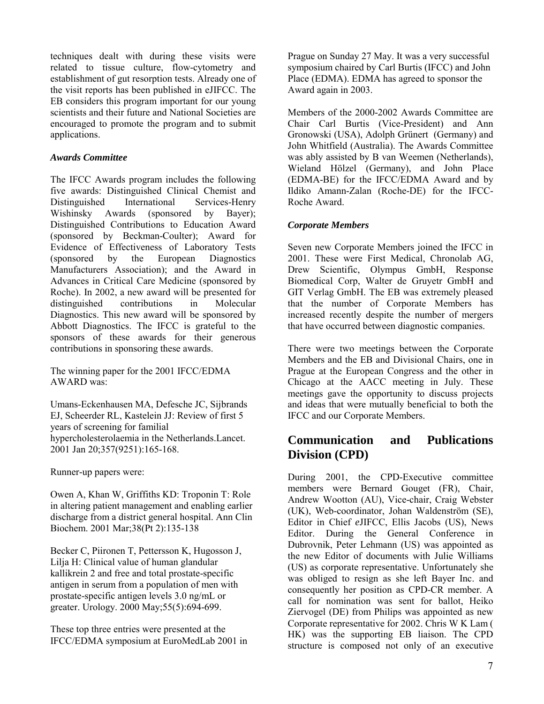techniques dealt with during these visits were related to tissue culture, flow-cytometry and establishment of gut resorption tests. Already one of the visit reports has been published in eJIFCC. The EB considers this program important for our young scientists and their future and National Societies are encouraged to promote the program and to submit applications.

#### *Awards Committee*

The IFCC Awards program includes the following five awards: Distinguished Clinical Chemist and Distinguished International Services-Henry Wishinsky Awards (sponsored by Bayer); Distinguished Contributions to Education Award (sponsored by Beckman-Coulter); Award for Evidence of Effectiveness of Laboratory Tests (sponsored by the European Diagnostics Manufacturers Association); and the Award in Advances in Critical Care Medicine (sponsored by Roche). In 2002, a new award will be presented for distinguished contributions in Molecular Diagnostics. This new award will be sponsored by Abbott Diagnostics. The IFCC is grateful to the sponsors of these awards for their generous contributions in sponsoring these awards.

The winning paper for the 2001 IFCC/EDMA AWARD was:

Umans-Eckenhausen MA, Defesche JC, Sijbrands EJ, Scheerder RL, Kastelein JJ: Review of first 5 years of screening for familial hypercholesterolaemia in the Netherlands.Lancet. 2001 Jan 20;357(9251):165-168.

Runner-up papers were:

Owen A, Khan W, Griffiths KD: Troponin T: Role in altering patient management and enabling earlier discharge from a district general hospital. Ann Clin Biochem. 2001 Mar;38(Pt 2):135-138

Becker C, Piironen T, Pettersson K, Hugosson J, Lilja H: Clinical value of human glandular kallikrein 2 and free and total prostate-specific antigen in serum from a population of men with prostate-specific antigen levels 3.0 ng/mL or greater. Urology. 2000 May;55(5):694-699.

These top three entries were presented at the IFCC/EDMA symposium at EuroMedLab 2001 in Prague on Sunday 27 May. It was a very successful symposium chaired by Carl Burtis (IFCC) and John Place (EDMA). EDMA has agreed to sponsor the Award again in 2003.

Members of the 2000-2002 Awards Committee are Chair Carl Burtis (Vice-President) and Ann Gronowski (USA), Adolph Grünert (Germany) and John Whitfield (Australia). The Awards Committee was ably assisted by B van Weemen (Netherlands), Wieland Hölzel (Germany), and John Place (EDMA-BE) for the IFCC/EDMA Award and by Ildiko Amann-Zalan (Roche-DE) for the IFCC-Roche Award.

#### *Corporate Members*

Seven new Corporate Members joined the IFCC in 2001. These were First Medical, Chronolab AG, Drew Scientific, Olympus GmbH, Response Biomedical Corp, Walter de Gruyetr GmbH and GIT Verlag GmbH. The EB was extremely pleased that the number of Corporate Members has increased recently despite the number of mergers that have occurred between diagnostic companies.

There were two meetings between the Corporate Members and the EB and Divisional Chairs, one in Prague at the European Congress and the other in Chicago at the AACC meeting in July. These meetings gave the opportunity to discuss projects and ideas that were mutually beneficial to both the IFCC and our Corporate Members.

# **Communication and Publications Division (CPD)**

During 2001, the CPD-Executive committee members were Bernard Gouget (FR), Chair, Andrew Wootton (AU), Vice-chair, Craig Webster (UK), Web-coordinator, Johan Waldenström (SE), Editor in Chief *e*JIFCC, Ellis Jacobs (US), News Editor. During the General Conference in Dubrovnik, Peter Lehmann (US) was appointed as the new Editor of documents with Julie Williams (US) as corporate representative. Unfortunately she was obliged to resign as she left Bayer Inc. and consequently her position as CPD-CR member. A call for nomination was sent for ballot, Heiko Ziervogel (DE) from Philips was appointed as new Corporate representative for 2002. Chris W K Lam ( HK) was the supporting EB liaison. The CPD structure is composed not only of an executive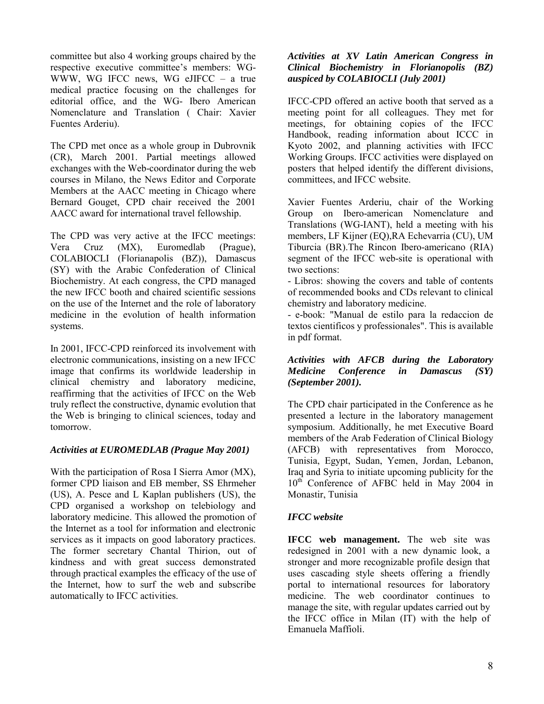committee but also 4 working groups chaired by the respective executive committee's members: WG-WWW, WG IFCC news, WG eJIFCC  $-$  a true medical practice focusing on the challenges for editorial office, and the WG- Ibero American Nomenclature and Translation ( Chair: Xavier Fuentes Arderiu).

The CPD met once as a whole group in Dubrovnik (CR), March 2001. Partial meetings allowed exchanges with the Web-coordinator during the web courses in Milano, the News Editor and Corporate Members at the AACC meeting in Chicago where Bernard Gouget, CPD chair received the 2001 AACC award for international travel fellowship.

The CPD was very active at the IFCC meetings: Vera Cruz (MX), Euromedlab (Prague), COLABIOCLI (Florianapolis (BZ)), Damascus (SY) with the Arabic Confederation of Clinical Biochemistry. At each congress, the CPD managed the new IFCC booth and chaired scientific sessions on the use of the Internet and the role of laboratory medicine in the evolution of health information systems.

In 2001, IFCC-CPD reinforced its involvement with electronic communications, insisting on a new IFCC image that confirms its worldwide leadership in clinical chemistry and laboratory medicine, reaffirming that the activities of IFCC on the Web truly reflect the constructive, dynamic evolution that the Web is bringing to clinical sciences, today and tomorrow.

#### *Activities at EUROMEDLAB (Prague May 2001)*

With the participation of Rosa I Sierra Amor (MX), former CPD liaison and EB member, SS Ehrmeher (US), A. Pesce and L Kaplan publishers (US), the CPD organised a workshop on telebiology and laboratory medicine. This allowed the promotion of the Internet as a tool for information and electronic services as it impacts on good laboratory practices. The former secretary Chantal Thirion, out of kindness and with great success demonstrated through practical examples the efficacy of the use of the Internet, how to surf the web and subscribe automatically to IFCC activities.

#### *Activities at XV Latin American Congress in Clinical Biochemistry in Florianopolis (BZ) auspiced by COLABIOCLI (July 2001)*

IFCC-CPD offered an active booth that served as a meeting point for all colleagues. They met for meetings, for obtaining copies of the IFCC Handbook, reading information about ICCC in Kyoto 2002, and planning activities with IFCC Working Groups. IFCC activities were displayed on posters that helped identify the different divisions, committees, and IFCC website.

Xavier Fuentes Arderiu, chair of the Working Group on Ibero-american Nomenclature and Translations (WG-IANT), held a meeting with his members, LF Kijner (EQ),RA Echevarria (CU), UM Tiburcia (BR).The Rincon Ibero-americano (RIA) segment of the IFCC web-site is operational with two sections:

- Libros: showing the covers and table of contents of recommended books and CDs relevant to clinical chemistry and laboratory medicine.

- e-book: "Manual de estilo para la redaccion de textos cientificos y professionales". This is available in pdf format.

#### *Activities with AFCB during the Laboratory Medicine Conference in Damascus (SY) (September 2001).*

The CPD chair participated in the Conference as he presented a lecture in the laboratory management symposium. Additionally, he met Executive Board members of the Arab Federation of Clinical Biology (AFCB) with representatives from Morocco, Tunisia, Egypt, Sudan, Yemen, Jordan, Lebanon, Iraq and Syria to initiate upcoming publicity for the 10<sup>th</sup> Conference of AFBC held in May 2004 in Monastir, Tunisia

#### *IFCC website*

**IFCC** web management. The web site was redesigned in 2001 with a new dynamic look, a stronger and more recognizable profile design that uses cascading style sheets offering a friendly portal to international resources for laboratory medicine. The web coordinator continues to manage the site, with regular updates carried out by the IFCC office in Milan (IT) with the help of Emanuela Maffioli.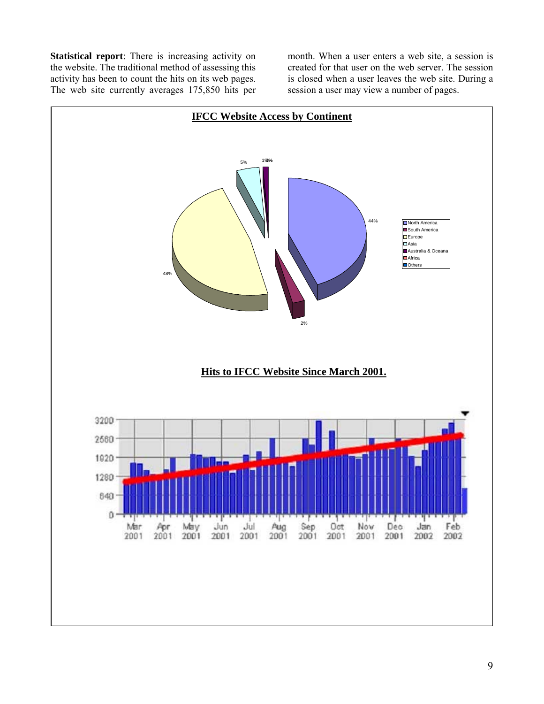**Statistical report**: There is increasing activity on the website. The traditional method of assessing this activity has been to count the hits on its web pages. The web site currently averages 175,850 hits per month. When a user enters a web site, a session is created for that user on the web server. The session is closed when a user leaves the web site. During a session a user may view a number of pages.

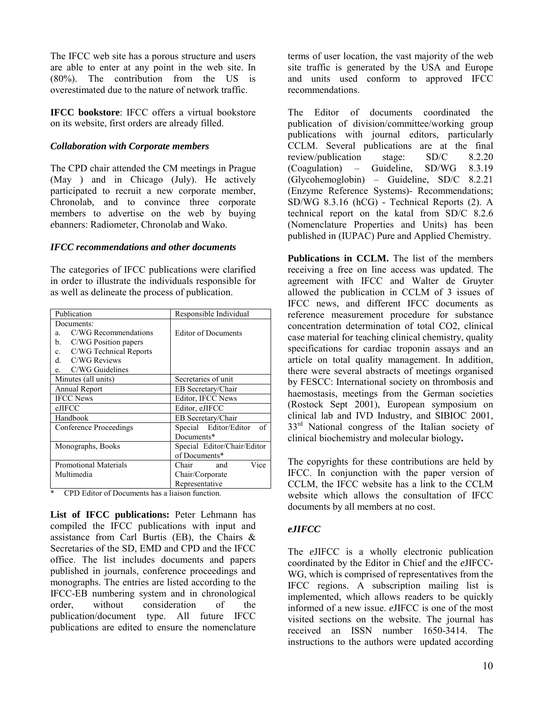The IFCC web site has a porous structure and users are able to enter at any point in the web site. In (80%). The contribution from the US is overestimated due to the nature of network traffic.

**IFCC bookstore**: IFCC offers a virtual bookstore on its website, first orders are already filled.

#### *Collaboration with Corporate members*

The CPD chair attended the CM meetings in Prague (May ) and in Chicago (July). He actively participated to recruit a new corporate member, Chronolab, and to convince three corporate members to advertise on the web by buying *e*banners: Radiometer, Chronolab and Wako.

#### *IFCC recommendations and other documents*

The categories of IFCC publications were clarified in order to illustrate the individuals responsible for as well as delineate the process of publication.

| Publication                           | Responsible Individual                 |
|---------------------------------------|----------------------------------------|
| Documents:                            |                                        |
| C/WG Recommendations<br>a.            | <b>Editor of Documents</b>             |
| b.<br>C/WG Position papers            |                                        |
| C/WG Technical Reports<br>$c_{\rm c}$ |                                        |
| d. C/WG Reviews                       |                                        |
| e. C/WG Guidelines                    |                                        |
| Minutes (all units)                   | Secretaries of unit                    |
| Annual Report                         | EB Secretary/Chair                     |
| <b>IFCC News</b>                      | Editor, IFCC News                      |
| eJIFCC                                | Editor, eJIFCC                         |
| Handbook                              | EB Secretary/Chair                     |
| <b>Conference Proceedings</b>         | Special Editor/Editor<br><sub>of</sub> |
|                                       | Documents*                             |
| Monographs, Books                     | Special Editor/Chair/Editor            |
|                                       | of Documents*                          |
| <b>Promotional Materials</b>          | Vice<br>Chair<br>and                   |
| Multimedia                            | Chair/Corporate                        |
|                                       | Representative                         |

\* CPD Editor of Documents has a liaison function.

**List of IFCC publications:** Peter Lehmann has compiled the IFCC publications with input and assistance from Carl Burtis (EB), the Chairs  $\&$ Secretaries of the SD, EMD and CPD and the IFCC office. The list includes documents and papers published in journals, conference proceedings and monographs. The entries are listed according to the IFCC-EB numbering system and in chronological order, without consideration of the publication/document type. All future IFCC publications are edited to ensure the nomenclature terms of user location, the vast majority of the web site traffic is generated by the USA and Europe and units used conform to approved IFCC recommendations.

The Editor of documents coordinated the publication of division/committee/working group publications with journal editors, particularly CCLM. Several publications are at the final review/publication stage: SD/C 8.2.20  $(Coagulation)$  – Guideline, SD/WG 8.3.19  $(Glycohemoglobin)$  – Guideline, SD/C 8.2.21 (Enzyme Reference Systems)- Recommendations; SD/WG 8.3.16 (hCG) - Technical Reports (2). A technical report on the katal from SD/C 8.2.6 (Nomenclature Properties and Units) has been published in (IUPAC) Pure and Applied Chemistry.

**Publications in CCLM.** The list of the members receiving a free on line access was updated. The agreement with IFCC and Walter de Gruyter allowed the publication in CCLM of 3 issues of IFCC news, and different IFCC documents as reference measurement procedure for substance concentration determination of total CO2, clinical case material for teaching clinical chemistry, quality specifications for cardiac troponin assays and an article on total quality management. In addition, there were several abstracts of meetings organised by FESCC: International society on thrombosis and haemostasis, meetings from the German societies (Rostock Sept 2001), European symposium on clinical lab and IVD Industry, and SIBIOC 2001,  $33<sup>rd</sup>$  National congress of the Italian society of clinical biochemistry and molecular biology**.** 

The copyrights for these contributions are held by IFCC. In conjunction with the paper version of CCLM, the IFCC website has a link to the CCLM website which allows the consultation of IFCC documents by all members at no cost.

#### *eJIFCC*

The *e*JIFCC is a wholly electronic publication coordinated by the Editor in Chief and the *e*JIFCC-WG, which is comprised of representatives from the IFCC regions. A subscription mailing list is implemented, which allows readers to be quickly informed of a new issue. *e*JIFCC is one of the most visited sections on the website. The journal has received an ISSN number 1650-3414. The instructions to the authors were updated according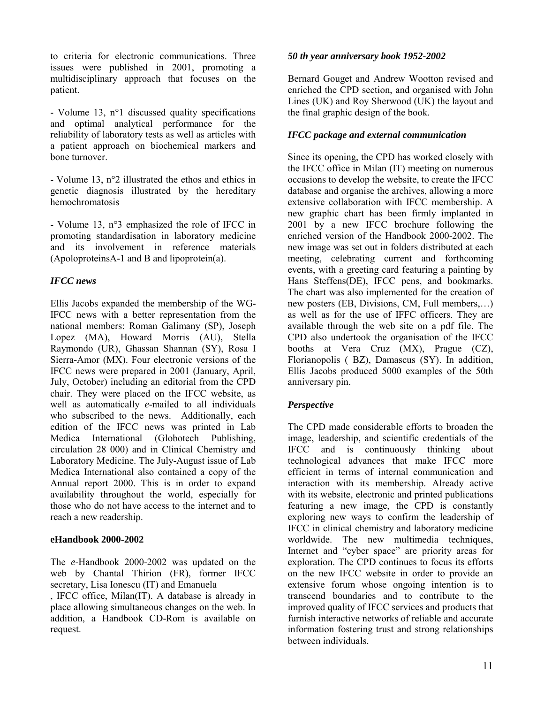to criteria for electronic communications. Three issues were published in 2001, promoting a multidisciplinary approach that focuses on the patient.

- Volume 13, n°1 discussed quality specifications and optimal analytical performance for the reliability of laboratory tests as well as articles with a patient approach on biochemical markers and bone turnover.

- Volume 13, n°2 illustrated the ethos and ethics in genetic diagnosis illustrated by the hereditary hemochromatosis

- Volume 13, n°3 emphasized the role of IFCC in promoting standardisation in laboratory medicine and its involvement in reference materials (ApoloproteinsA-1 and B and lipoprotein(a).

#### *IFCC news*

Ellis Jacobs expanded the membership of the WG-IFCC news with a better representation from the national members: Roman Galimany (SP), Joseph Lopez (MA), Howard Morris (AU), Stella Raymondo (UR), Ghassan Shannan (SY), Rosa I Sierra-Amor (MX). Four electronic versions of the IFCC news were prepared in 2001 (January, April, July, October) including an editorial from the CPD chair. They were placed on the IFCC website, as well as automatically *e*-mailed to all individuals who subscribed to the news. Additionally, each edition of the IFCC news was printed in Lab Medica International (Globotech Publishing, circulation 28 000) and in Clinical Chemistry and Laboratory Medicine. The July-August issue of Lab Medica International also contained a copy of the Annual report 2000. This is in order to expand availability throughout the world, especially for those who do not have access to the internet and to reach a new readership.

#### **eHandbook 2000-2002**

The *e*-Handbook 2000-2002 was updated on the web by Chantal Thirion (FR), former IFCC secretary, Lisa Ionescu (IT) and Emanuela

, IFCC office, Milan(IT). A database is already in place allowing simultaneous changes on the web. In addition, a Handbook CD-Rom is available on request.

#### *50 th year anniversary book 1952-2002*

Bernard Gouget and Andrew Wootton revised and enriched the CPD section, and organised with John Lines (UK) and Roy Sherwood (UK) the layout and the final graphic design of the book.

## *IFCC package and external communication*

Since its opening, the CPD has worked closely with the IFCC office in Milan (IT) meeting on numerous occasions to develop the website, to create the IFCC database and organise the archives, allowing a more extensive collaboration with IFCC membership. A new graphic chart has been firmly implanted in 2001 by a new IFCC brochure following the enriched version of the Handbook 2000-2002. The new image was set out in folders distributed at each meeting, celebrating current and forthcoming events, with a greeting card featuring a painting by Hans Steffens(DE), IFCC pens, and bookmarks. The chart was also implemented for the creation of new posters (EB, Divisions, CM, Full members,...) as well as for the use of IFFC officers. They are available through the web site on a pdf file. The CPD also undertook the organisation of the IFCC booths at Vera Cruz (MX), Prague (CZ), Florianopolis ( BZ), Damascus (SY). In addition, Ellis Jacobs produced 5000 examples of the 50th anniversary pin.

#### *Perspective*

The CPD made considerable efforts to broaden the image, leadership, and scientific credentials of the IFCC and is continuously thinking about technological advances that make IFCC more efficient in terms of internal communication and interaction with its membership. Already active with its website, electronic and printed publications featuring a new image, the CPD is constantly exploring new ways to confirm the leadership of IFCC in clinical chemistry and laboratory medicine worldwide. The new multimedia techniques, Internet and "cyber space" are priority areas for exploration. The CPD continues to focus its efforts on the new IFCC website in order to provide an extensive forum whose ongoing intention is to transcend boundaries and to contribute to the improved quality of IFCC services and products that furnish interactive networks of reliable and accurate information fostering trust and strong relationships between individuals.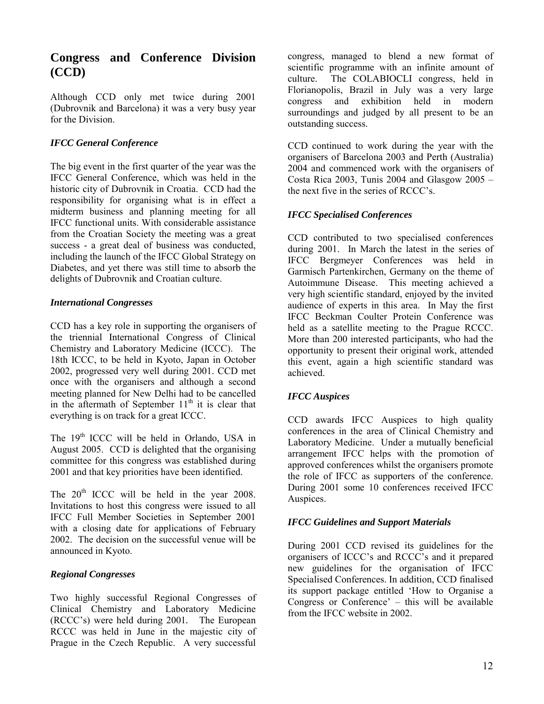# **Congress and Conference Division (CCD)**

Although CCD only met twice during 2001 (Dubrovnik and Barcelona) it was a very busy year for the Division.

## *IFCC General Conference*

The big event in the first quarter of the year was the IFCC General Conference, which was held in the historic city of Dubrovnik in Croatia. CCD had the responsibility for organising what is in effect a midterm business and planning meeting for all IFCC functional units. With considerable assistance from the Croatian Society the meeting was a great success - a great deal of business was conducted, including the launch of the IFCC Global Strategy on Diabetes, and yet there was still time to absorb the delights of Dubrovnik and Croatian culture.

#### *International Congresses*

CCD has a key role in supporting the organisers of the triennial International Congress of Clinical Chemistry and Laboratory Medicine (ICCC). The 18th ICCC, to be held in Kyoto, Japan in October 2002, progressed very well during 2001. CCD met once with the organisers and although a second meeting planned for New Delhi had to be cancelled in the aftermath of September  $11<sup>th</sup>$  it is clear that everything is on track for a great ICCC.

The 19<sup>th</sup> ICCC will be held in Orlando, USA in August 2005. CCD is delighted that the organising committee for this congress was established during 2001 and that key priorities have been identified.

The  $20<sup>th</sup>$  ICCC will be held in the year 2008. Invitations to host this congress were issued to all IFCC Full Member Societies in September 2001 with a closing date for applications of February 2002. The decision on the successful venue will be announced in Kyoto.

# *Regional Congresses*

Two highly successful Regional Congresses of Clinical Chemistry and Laboratory Medicine (RCCCís) were held during 2001*.* The European RCCC was held in June in the majestic city of Prague in the Czech Republic. A very successful

congress, managed to blend a new format of scientific programme with an infinite amount of culture. The COLABIOCLI congress, held in Florianopolis, Brazil in July was a very large congress and exhibition held in modern surroundings and judged by all present to be an outstanding success.

CCD continued to work during the year with the organisers of Barcelona 2003 and Perth (Australia) 2004 and commenced work with the organisers of Costa Rica 2003, Tunis 2004 and Glasgow  $2005$ the next five in the series of RCCC's.

## *IFCC Specialised Conferences*

CCD contributed to two specialised conferences during 2001. In March the latest in the series of IFCC Bergmeyer Conferences was held in Garmisch Partenkirchen, Germany on the theme of Autoimmune Disease. This meeting achieved a very high scientific standard, enjoyed by the invited audience of experts in this area. In May the first IFCC Beckman Coulter Protein Conference was held as a satellite meeting to the Prague RCCC. More than 200 interested participants, who had the opportunity to present their original work, attended this event, again a high scientific standard was achieved.

# *IFCC Auspices*

CCD awards IFCC Auspices to high quality conferences in the area of Clinical Chemistry and Laboratory Medicine. Under a mutually beneficial arrangement IFCC helps with the promotion of approved conferences whilst the organisers promote the role of IFCC as supporters of the conference. During 2001 some 10 conferences received IFCC Auspices.

#### *IFCC Guidelines and Support Materials*

During 2001 CCD revised its guidelines for the organisers of ICCC's and RCCC's and it prepared new guidelines for the organisation of IFCC Specialised Conferences. In addition, CCD finalised its support package entitled ëHow to Organise a Congress or Conference<sup> $\cdot$ </sup> – this will be available from the IFCC website in 2002.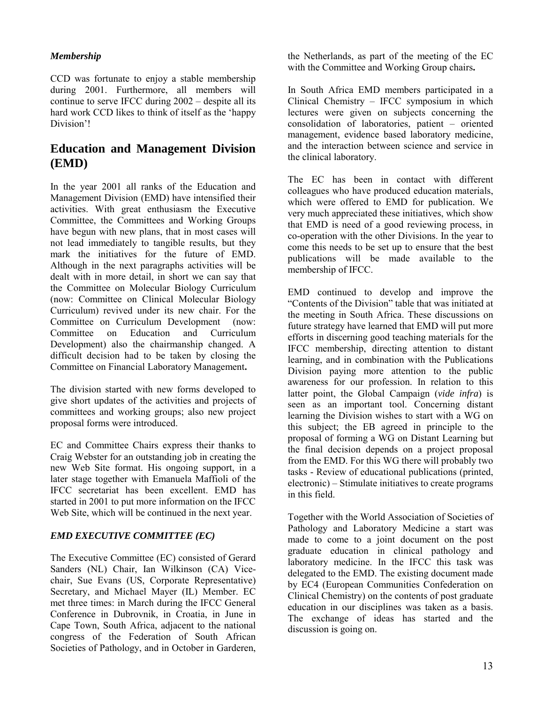## *Membership*

CCD was fortunate to enjoy a stable membership during 2001. Furthermore, all members will continue to serve IFCC during  $2002 -$  despite all its hard work CCD likes to think of itself as the 'happy Division'!

# **Education and Management Division (EMD)**

In the year 2001 all ranks of the Education and Management Division (EMD) have intensified their activities. With great enthusiasm the Executive Committee, the Committees and Working Groups have begun with new plans, that in most cases will not lead immediately to tangible results, but they mark the initiatives for the future of EMD. Although in the next paragraphs activities will be dealt with in more detail, in short we can say that the Committee on Molecular Biology Curriculum (now: Committee on Clinical Molecular Biology Curriculum) revived under its new chair. For the Committee on Curriculum Development (now: Committee on Education and Curriculum Development) also the chairmanship changed. A difficult decision had to be taken by closing the Committee on Financial Laboratory Management**.** 

The division started with new forms developed to give short updates of the activities and projects of committees and working groups; also new project proposal forms were introduced.

EC and Committee Chairs express their thanks to Craig Webster for an outstanding job in creating the new Web Site format. His ongoing support, in a later stage together with Emanuela Maffioli of the IFCC secretariat has been excellent. EMD has started in 2001 to put more information on the IFCC Web Site, which will be continued in the next year.

#### *EMD EXECUTIVE COMMITTEE (EC)*

The Executive Committee (EC) consisted of Gerard Sanders (NL) Chair, Ian Wilkinson (CA) Vicechair, Sue Evans (US, Corporate Representative) Secretary, and Michael Mayer (IL) Member. EC met three times: in March during the IFCC General Conference in Dubrovnik, in Croatia, in June in Cape Town, South Africa, adjacent to the national congress of the Federation of South African Societies of Pathology, and in October in Garderen,

the Netherlands, as part of the meeting of the EC with the Committee and Working Group chairs**.** 

In South Africa EMD members participated in a Clinical Chemistry  $-$  IFCC symposium in which lectures were given on subjects concerning the  $consolidation$  of laboratories, patient  $-$  oriented management, evidence based laboratory medicine, and the interaction between science and service in the clinical laboratory.

The EC has been in contact with different colleagues who have produced education materials, which were offered to EMD for publication. We very much appreciated these initiatives, which show that EMD is need of a good reviewing process, in co-operation with the other Divisions. In the year to come this needs to be set up to ensure that the best publications will be made available to the membership of IFCC.

EMD continued to develop and improve the "Contents of the Division" table that was initiated at the meeting in South Africa. These discussions on future strategy have learned that EMD will put more efforts in discerning good teaching materials for the IFCC membership, directing attention to distant learning, and in combination with the Publications Division paying more attention to the public awareness for our profession. In relation to this latter point, the Global Campaign (*vide infra*) is seen as an important tool. Concerning distant learning the Division wishes to start with a WG on this subject; the EB agreed in principle to the proposal of forming a WG on Distant Learning but the final decision depends on a project proposal from the EMD. For this WG there will probably two tasks - Review of educational publications (printed,  $electronic) - Stimulate$  initiatives to create programs in this field.

Together with the World Association of Societies of Pathology and Laboratory Medicine a start was made to come to a joint document on the post graduate education in clinical pathology and laboratory medicine. In the IFCC this task was delegated to the EMD. The existing document made by EC4 (European Communities Confederation on Clinical Chemistry) on the contents of post graduate education in our disciplines was taken as a basis. The exchange of ideas has started and the discussion is going on.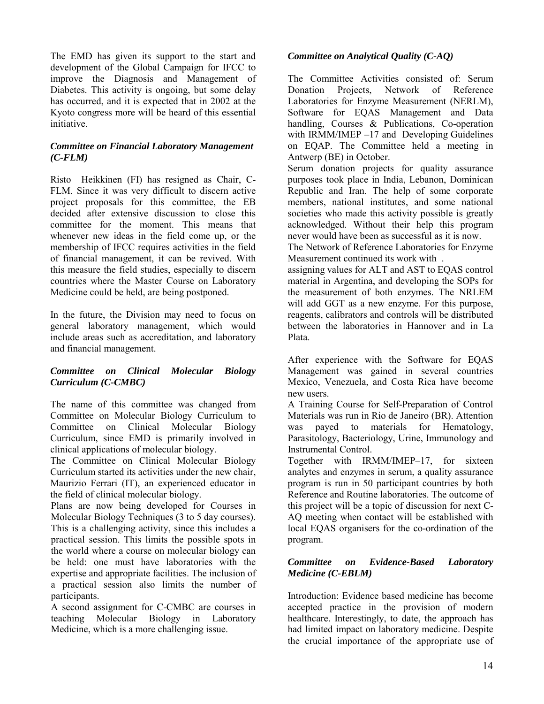The EMD has given its support to the start and development of the Global Campaign for IFCC to improve the Diagnosis and Management of Diabetes. This activity is ongoing, but some delay has occurred, and it is expected that in 2002 at the Kyoto congress more will be heard of this essential initiative.

#### *Committee on Financial Laboratory Management (C-FLM)*

Risto Heikkinen (FI) has resigned as Chair, C-FLM. Since it was very difficult to discern active project proposals for this committee, the EB decided after extensive discussion to close this committee for the moment. This means that whenever new ideas in the field come up, or the membership of IFCC requires activities in the field of financial management, it can be revived. With this measure the field studies, especially to discern countries where the Master Course on Laboratory Medicine could be held, are being postponed.

In the future, the Division may need to focus on general laboratory management, which would include areas such as accreditation, and laboratory and financial management.

#### *Committee on Clinical Molecular Biology Curriculum (C-CMBC)*

The name of this committee was changed from Committee on Molecular Biology Curriculum to Committee on Clinical Molecular Biology Curriculum, since EMD is primarily involved in clinical applications of molecular biology.

The Committee on Clinical Molecular Biology Curriculum started its activities under the new chair, Maurizio Ferrari (IT), an experienced educator in the field of clinical molecular biology.

Plans are now being developed for Courses in Molecular Biology Techniques (3 to 5 day courses). This is a challenging activity, since this includes a practical session. This limits the possible spots in the world where a course on molecular biology can be held: one must have laboratories with the expertise and appropriate facilities. The inclusion of a practical session also limits the number of participants.

A second assignment for C-CMBC are courses in teaching Molecular Biology in Laboratory Medicine, which is a more challenging issue.

## *Committee on Analytical Quality (C-AQ)*

The Committee Activities consisted of: Serum Donation Projects, Network of Reference Laboratories for Enzyme Measurement (NERLM), Software for EQAS Management and Data handling, Courses & Publications, Co-operation with IRMM/IMEP  $-17$  and Developing Guidelines on EQAP. The Committee held a meeting in Antwerp (BE) in October.

Serum donation projects for quality assurance purposes took place in India, Lebanon, Dominican Republic and Iran. The help of some corporate members, national institutes, and some national societies who made this activity possible is greatly acknowledged. Without their help this program never would have been as successful as it is now.

The Network of Reference Laboratories for Enzyme Measurement continued its work with .

assigning values for ALT and AST to EQAS control material in Argentina, and developing the SOPs for the measurement of both enzymes. The NRLEM will add GGT as a new enzyme. For this purpose, reagents, calibrators and controls will be distributed between the laboratories in Hannover and in La Plata.

After experience with the Software for EQAS Management was gained in several countries Mexico, Venezuela, and Costa Rica have become new users.

A Training Course for Self-Preparation of Control Materials was run in Rio de Janeiro (BR). Attention was payed to materials for Hematology, Parasitology, Bacteriology, Urine, Immunology and Instrumental Control.

Together with IRMM/IMEP–17, for sixteen analytes and enzymes in serum, a quality assurance program is run in 50 participant countries by both Reference and Routine laboratories. The outcome of this project will be a topic of discussion for next C-AQ meeting when contact will be established with local EQAS organisers for the co-ordination of the program.

#### *Committee on Evidence-Based Laboratory Medicine (C-EBLM)*

Introduction: Evidence based medicine has become accepted practice in the provision of modern healthcare. Interestingly, to date, the approach has had limited impact on laboratory medicine. Despite the crucial importance of the appropriate use of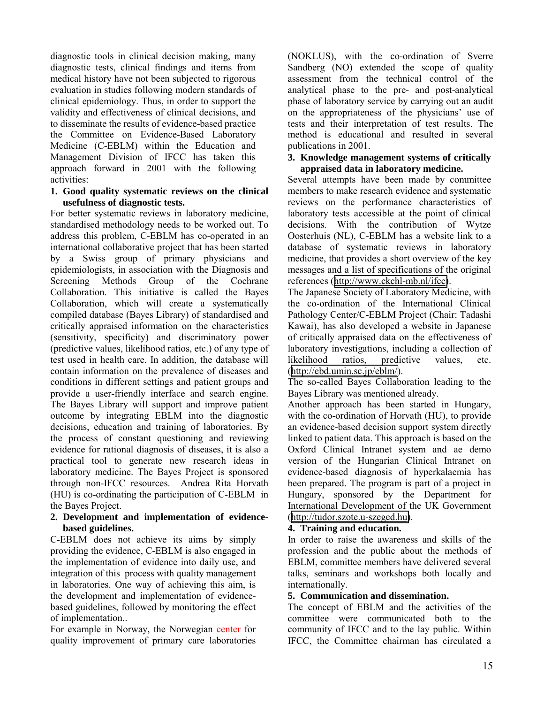diagnostic tools in clinical decision making, many diagnostic tests, clinical findings and items from medical history have not been subjected to rigorous evaluation in studies following modern standards of clinical epidemiology. Thus, in order to support the validity and effectiveness of clinical decisions, and to disseminate the results of evidence-based practice the Committee on Evidence-Based Laboratory Medicine (C-EBLM) within the Education and Management Division of IFCC has taken this approach forward in 2001 with the following activities:

#### **1. Good quality systematic reviews on the clinical usefulness of diagnostic tests.**

For better systematic reviews in laboratory medicine, standardised methodology needs to be worked out. To address this problem, C-EBLM has co-operated in an international collaborative project that has been started by a Swiss group of primary physicians and epidemiologists, in association with the Diagnosis and Screening Methods Group of the Cochrane Collaboration. This initiative is called the Bayes Collaboration, which will create a systematically compiled database (Bayes Library) of standardised and critically appraised information on the characteristics (sensitivity, specificity) and discriminatory power (predictive values, likelihood ratios, etc.) of any type of test used in health care. In addition, the database will contain information on the prevalence of diseases and conditions in different settings and patient groups and provide a user-friendly interface and search engine. The Bayes Library will support and improve patient outcome by integrating EBLM into the diagnostic decisions, education and training of laboratories. By the process of constant questioning and reviewing evidence for rational diagnosis of diseases, it is also a practical tool to generate new research ideas in laboratory medicine. The Bayes Project is sponsored through non-IFCC resources. Andrea Rita Horvath (HU) is co-ordinating the participation of C-EBLM in the Bayes Project.

#### **2. Development and implementation of evidencebased guidelines.**

C-EBLM does not achieve its aims by simply providing the evidence, C-EBLM is also engaged in the implementation of evidence into daily use, and integration of this process with quality management in laboratories. One way of achieving this aim, is the development and implementation of evidencebased guidelines, followed by monitoring the effect of implementation..

For example in Norway, the Norwegian center for quality improvement of primary care laboratories

(NOKLUS), with the co-ordination of Sverre Sandberg (NO) extended the scope of quality assessment from the technical control of the analytical phase to the pre- and post-analytical phase of laboratory service by carrying out an audit on the appropriateness of the physicians' use of tests and their interpretation of test results. The method is educational and resulted in several publications in 2001.

#### **3. Knowledge management systems of critically appraised data in laboratory medicine.**

Several attempts have been made by committee members to make research evidence and systematic reviews on the performance characteristics of laboratory tests accessible at the point of clinical decisions. With the contribution of Wytze Oosterhuis (NL), C-EBLM has a website link to a database of systematic reviews in laboratory medicine, that provides a short overview of the key messages and a list of specifications of the original references ([http://www.ckchl-mb.nl/ifcc\)](http://www.ckchl-mb.nl/ifcc).

The Japanese Society of Laboratory Medicine, with the co-ordination of the International Clinical Pathology Center/C-EBLM Project (Chair: Tadashi Kawai), has also developed a website in Japanese of critically appraised data on the effectiveness of laboratory investigations, including a collection of likelihood ratios, predictive values, etc. ([http://ebd.umin.sc.jp/eblm/\)](http://ebd.umin.sc.jp/eblm/).

The so-called Bayes Collaboration leading to the Bayes Library was mentioned already.

Another approach has been started in Hungary, with the co-ordination of Horvath (HU), to provide an evidence-based decision support system directly linked to patient data. This approach is based on the Oxford Clinical Intranet system and ae demo version of the Hungarian Clinical Intranet on evidence-based diagnosis of hyperkalaemia has been prepared. The program is part of a project in Hungary, sponsored by the Department for International Development of the UK Government ([http://tudor.szote.u-szeged.hu\)](http://tudor.szote.u-szeged.hu/).

#### **4. Training and education.**

In order to raise the awareness and skills of the profession and the public about the methods of EBLM, committee members have delivered several talks, seminars and workshops both locally and internationally.

#### **5. Communication and dissemination.**

The concept of EBLM and the activities of the committee were communicated both to the community of IFCC and to the lay public. Within IFCC, the Committee chairman has circulated a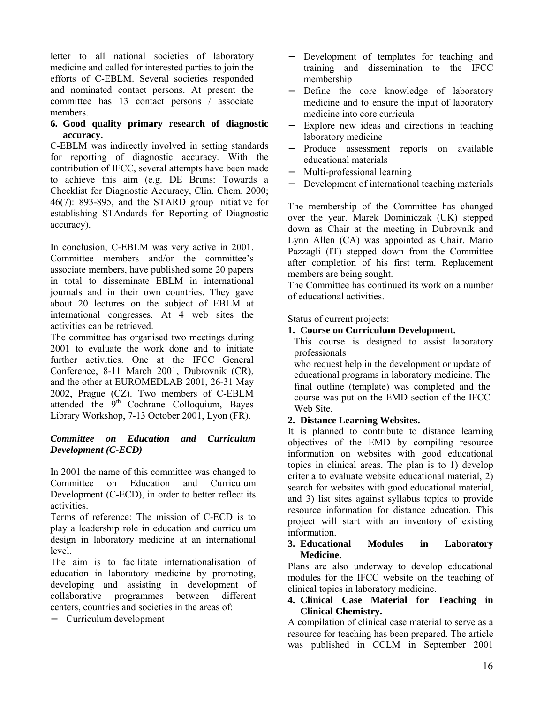letter to all national societies of laboratory medicine and called for interested parties to join the efforts of C-EBLM. Several societies responded and nominated contact persons. At present the committee has 13 contact persons / associate members.

#### **6. Good quality primary research of diagnostic accuracy.**

C-EBLM was indirectly involved in setting standards for reporting of diagnostic accuracy. With the contribution of IFCC, several attempts have been made to achieve this aim (e.g. DE Bruns: Towards a Checklist for Diagnostic Accuracy, Clin. Chem. 2000; 46(7): 893-895, and the STARD group initiative for establishing STAndards for Reporting of Diagnostic accuracy).

In conclusion, C-EBLM was very active in 2001. Committee members and/or the committee's associate members, have published some 20 papers in total to disseminate EBLM in international journals and in their own countries. They gave about 20 lectures on the subject of EBLM at international congresses. At 4 web sites the activities can be retrieved.

The committee has organised two meetings during 2001 to evaluate the work done and to initiate further activities. One at the IFCC General Conference, 8-11 March 2001, Dubrovnik (CR), and the other at EUROMEDLAB 2001, 26-31 May 2002, Prague (CZ). Two members of C-EBLM attended the  $9<sup>th</sup>$  Cochrane Colloquium, Bayes Library Workshop, 7-13 October 2001, Lyon (FR).

## *Committee on Education and Curriculum Development (C-ECD)*

In 2001 the name of this committee was changed to Committee on Education and Curriculum Development (C-ECD), in order to better reflect its activities.

Terms of reference: The mission of C-ECD is to play a leadership role in education and curriculum design in laboratory medicine at an international level.

The aim is to facilitate internationalisation of education in laboratory medicine by promoting, developing and assisting in development of collaborative programmes between different centers, countries and societies in the areas of:

− Curriculum development

- Development of templates for teaching and training and dissemination to the IFCC membership
- − Define the core knowledge of laboratory medicine and to ensure the input of laboratory medicine into core curricula
- − Explore new ideas and directions in teaching laboratory medicine
- Produce assessment reports on available educational materials
- − Multi-professional learning
- Development of international teaching materials

The membership of the Committee has changed over the year. Marek Dominiczak (UK) stepped down as Chair at the meeting in Dubrovnik and Lynn Allen (CA) was appointed as Chair. Mario Pazzagli (IT) stepped down from the Committee after completion of his first term. Replacement members are being sought.

The Committee has continued its work on a number of educational activities.

Status of current projects:

## **1. Course on Curriculum Development.**

This course is designed to assist laboratory professionals

who request help in the development or update of educational programs in laboratory medicine. The final outline (template) was completed and the course was put on the EMD section of the IFCC Web Site.

# **2. Distance Learning Websites.**

It is planned to contribute to distance learning objectives of the EMD by compiling resource information on websites with good educational topics in clinical areas. The plan is to 1) develop criteria to evaluate website educational material, 2) search for websites with good educational material, and 3) list sites against syllabus topics to provide resource information for distance education. This project will start with an inventory of existing information.

#### **3. Educational Modules in Laboratory Medicine.**

Plans are also underway to develop educational modules for the IFCC website on the teaching of clinical topics in laboratory medicine.

#### **4. Clinical Case Material for Teaching in Clinical Chemistry.**

A compilation of clinical case material to serve as a resource for teaching has been prepared. The article was published in CCLM in September 2001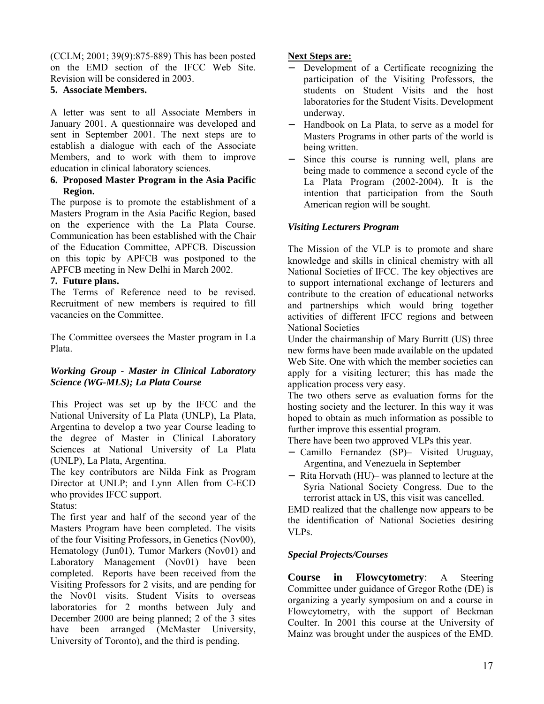(CCLM; 2001; 39(9):875-889) This has been posted on the EMD section of the IFCC Web Site. Revision will be considered in 2003.

#### **5. Associate Members.**

A letter was sent to all Associate Members in January 2001. A questionnaire was developed and sent in September 2001. The next steps are to establish a dialogue with each of the Associate Members, and to work with them to improve education in clinical laboratory sciences.

#### **6. Proposed Master Program in the Asia Pacific Region.**

The purpose is to promote the establishment of a Masters Program in the Asia Pacific Region, based on the experience with the La Plata Course. Communication has been established with the Chair of the Education Committee, APFCB. Discussion on this topic by APFCB was postponed to the APFCB meeting in New Delhi in March 2002.

#### **7. Future plans.**

The Terms of Reference need to be revised. Recruitment of new members is required to fill vacancies on the Committee.

The Committee oversees the Master program in La Plata.

#### *Working Group - Master in Clinical Laboratory Science (WG-MLS); La Plata Course*

This Project was set up by the IFCC and the National University of La Plata (UNLP), La Plata, Argentina to develop a two year Course leading to the degree of Master in Clinical Laboratory Sciences at National University of La Plata (UNLP), La Plata, Argentina.

The key contributors are Nilda Fink as Program Director at UNLP; and Lynn Allen from C-ECD who provides IFCC support.

Status:

The first year and half of the second year of the Masters Program have been completed. The visits of the four Visiting Professors, in Genetics (Nov00), Hematology (Jun01), Tumor Markers (Nov01) and Laboratory Management (Nov01) have been completed. Reports have been received from the Visiting Professors for 2 visits, and are pending for the Nov01 visits. Student Visits to overseas laboratories for 2 months between July and December 2000 are being planned; 2 of the 3 sites have been arranged (McMaster University, University of Toronto), and the third is pending.

#### **Next Steps are:**

- Development of a Certificate recognizing the participation of the Visiting Professors, the students on Student Visits and the host laboratories for the Student Visits. Development underway.
- − Handbook on La Plata, to serve as a model for Masters Programs in other parts of the world is being written.
- − Since this course is running well, plans are being made to commence a second cycle of the La Plata Program (2002-2004). It is the intention that participation from the South American region will be sought.

## *Visiting Lecturers Program*

The Mission of the VLP is to promote and share knowledge and skills in clinical chemistry with all National Societies of IFCC. The key objectives are to support international exchange of lecturers and contribute to the creation of educational networks and partnerships which would bring together activities of different IFCC regions and between National Societies

Under the chairmanship of Mary Burritt (US) three new forms have been made available on the updated Web Site. One with which the member societies can apply for a visiting lecturer; this has made the application process very easy.

The two others serve as evaluation forms for the hosting society and the lecturer. In this way it was hoped to obtain as much information as possible to further improve this essential program.

There have been two approved VLPs this year.

- − Camillo Fernandez (SP)– Visited Uruguay, Argentina, and Venezuela in September
- − Rita Horvath (HU)– was planned to lecture at the Syria National Society Congress. Due to the terrorist attack in US, this visit was cancelled.

EMD realized that the challenge now appears to be the identification of National Societies desiring VLPs.

#### *Special Projects/Courses*

**Course in Flowcytometry**: A Steering Committee under guidance of Gregor Rothe (DE) is organizing a yearly symposium on and a course in Flowcytometry, with the support of Beckman Coulter. In 2001 this course at the University of Mainz was brought under the auspices of the EMD.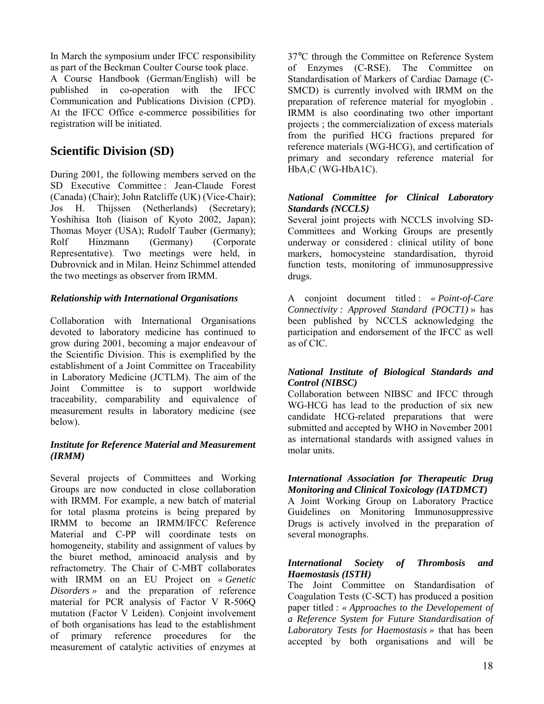In March the symposium under IFCC responsibility as part of the Beckman Coulter Course took place.

A Course Handbook (German/English) will be published in co-operation with the IFCC Communication and Publications Division (CPD). At the IFCC Office e-commerce possibilities for registration will be initiated.

# **Scientific Division (SD)**

During 2001, the following members served on the SD Executive Committee : Jean-Claude Forest (Canada) (Chair); John Ratcliffe (UK) (Vice-Chair); Jos H. Thijssen (Netherlands) (Secretary); Yoshihisa Itoh (liaison of Kyoto 2002, Japan); Thomas Moyer (USA); Rudolf Tauber (Germany); Rolf Hinzmann (Germany) (Corporate Representative). Two meetings were held, in Dubrovnick and in Milan. Heinz Schimmel attended the two meetings as observer from IRMM.

## *Relationship with International Organisations*

Collaboration with International Organisations devoted to laboratory medicine has continued to grow during 2001, becoming a major endeavour of the Scientific Division. This is exemplified by the establishment of a Joint Committee on Traceability in Laboratory Medicine (JCTLM). The aim of the Joint Committee is to support worldwide traceability, comparability and equivalence of measurement results in laboratory medicine (see below).

#### *Institute for Reference Material and Measurement (IRMM)*

Several projects of Committees and Working Groups are now conducted in close collaboration with IRMM. For example, a new batch of material for total plasma proteins is being prepared by IRMM to become an IRMM/IFCC Reference Material and C-PP will coordinate tests on homogeneity, stability and assignment of values by the biuret method, aminoacid analysis and by refractometry. The Chair of C-MBT collaborates with IRMM on an EU Project on *« Genetic Disorders »* and the preparation of reference material for PCR analysis of Factor V R-506Q mutation (Factor V Leiden). Conjoint involvement of both organisations has lead to the establishment of primary reference procedures for the measurement of catalytic activities of enzymes at

37°C through the Committee on Reference System of Enzymes (C-RSE). The Committee on Standardisation of Markers of Cardiac Damage (C-SMCD) is currently involved with IRMM on the preparation of reference material for myoglobin . IRMM is also coordinating two other important projects ; the commercialization of excess materials from the purified HCG fractions prepared for reference materials (WG-HCG), and certification of primary and secondary reference material for  $HbA_1C$  (WG-HbA1C).

#### *National Committee for Clinical Laboratory Standards (NCCLS)*

Several joint projects with NCCLS involving SD-Committees and Working Groups are presently underway or considered : clinical utility of bone markers, homocysteine standardisation, thyroid function tests, monitoring of immunosuppressive drugs.

A conjoint document titled : *« Point-of-Care Connectivity : Approved Standard (POCT1)* » has been published by NCCLS acknowledging the participation and endorsement of the IFCC as well as of CIC.

#### *National Institute of Biological Standards and Control (NIBSC)*

Collaboration between NIBSC and IFCC through WG-HCG has lead to the production of six new candidate HCG-related preparations that were submitted and accepted by WHO in November 2001 as international standards with assigned values in molar units.

#### *International Association for Therapeutic Drug Monitoring and Clinical Toxicology (IATDMCT)*

A Joint Working Group on Laboratory Practice Guidelines on Monitoring Immunosuppressive Drugs is actively involved in the preparation of several monographs.

#### *International Society of Thrombosis and Haemostasis (ISTH)*

The Joint Committee on Standardisation of Coagulation Tests (C-SCT) has produced a position paper titled : *« Approaches to the Developement of a Reference System for Future Standardisation of Laboratory Tests for Haemostasis »* that has been accepted by both organisations and will be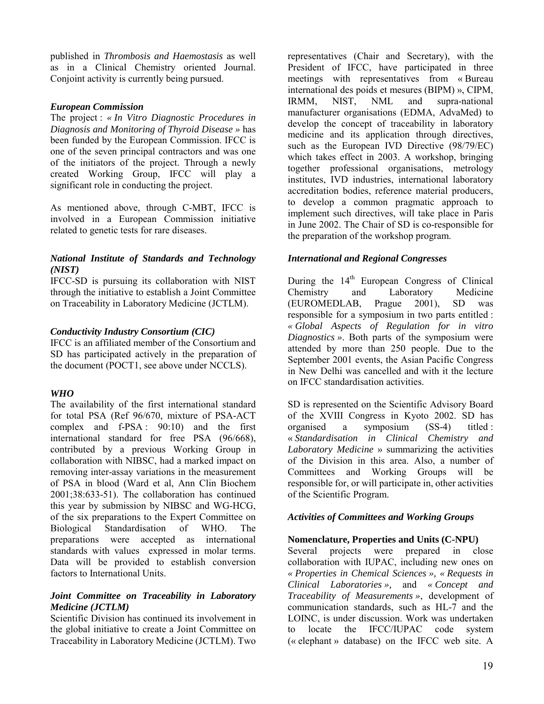published in *Thrombosis and Haemostasis* as well as in a Clinical Chemistry oriented Journal. Conjoint activity is currently being pursued.

#### *European Commission*

The project : *« In Vitro Diagnostic Procedures in Diagnosis and Monitoring of Thyroid Disease »* has been funded by the European Commission. IFCC is one of the seven principal contractors and was one of the initiators of the project. Through a newly created Working Group, IFCC will play a significant role in conducting the project.

As mentioned above, through C-MBT, IFCC is involved in a European Commission initiative related to genetic tests for rare diseases.

#### *National Institute of Standards and Technology (NIST)*

IFCC-SD is pursuing its collaboration with NIST through the initiative to establish a Joint Committee on Traceability in Laboratory Medicine (JCTLM).

#### *Conductivity Industry Consortium (CIC)*

IFCC is an affiliated member of the Consortium and SD has participated actively in the preparation of the document (POCT1, see above under NCCLS).

#### *WHO*

The availability of the first international standard for total PSA (Ref 96/670, mixture of PSA-ACT complex and f-PSA : 90:10) and the first international standard for free PSA (96/668), contributed by a previous Working Group in collaboration with NIBSC, had a marked impact on removing inter-assay variations in the measurement of PSA in blood (Ward et al, Ann Clin Biochem 2001;38:633-51). The collaboration has continued this year by submission by NIBSC and WG-HCG, of the six preparations to the Expert Committee on Biological Standardisation of WHO. The preparations were accepted as international standards with values expressed in molar terms. Data will be provided to establish conversion factors to International Units.

#### *Joint Committee on Traceability in Laboratory Medicine (JCTLM)*

Scientific Division has continued its involvement in the global initiative to create a Joint Committee on Traceability in Laboratory Medicine (JCTLM). Two

representatives (Chair and Secretary), with the President of IFCC, have participated in three meetings with representatives from  $\kappa$  Bureau international des poids et mesures (BIPM) », CIPM, IRMM, NIST, NML and supra-national manufacturer organisations (EDMA, AdvaMed) to develop the concept of traceability in laboratory medicine and its application through directives, such as the European IVD Directive (98/79/EC) which takes effect in 2003. A workshop, bringing together professional organisations, metrology institutes, IVD industries, international laboratory accreditation bodies, reference material producers, to develop a common pragmatic approach to implement such directives, will take place in Paris in June 2002. The Chair of SD is co-responsible for the preparation of the workshop program.

#### *International and Regional Congresses*

During the  $14<sup>th</sup>$  European Congress of Clinical Chemistry and Laboratory Medicine (EUROMEDLAB, Prague 2001), SD was responsible for a symposium in two parts entitled : *« Global Aspects of Regulation for in vitro Diagnostics »*. Both parts of the symposium were attended by more than 250 people. Due to the September 2001 events, the Asian Pacific Congress in New Delhi was cancelled and with it the lecture on IFCC standardisation activities.

SD is represented on the Scientific Advisory Board of the XVIII Congress in Kyoto 2002. SD has organised a symposium (SS-4) titled : ´ *Standardisation in Clinical Chemistry and*  Laboratory Medicine » summarizing the activities of the Division in this area. Also, a number of Committees and Working Groups will be responsible for, or will participate in, other activities of the Scientific Program.

#### *Activities of Committees and Working Groups*

#### **Nomenclature, Properties and Units (C-NPU)**

Several projects were prepared in close collaboration with IUPAC, including new ones on *« Properties in Chemical Sciences », « Requests in Clinical Laboratories »,* and *« Concept and Traceability of Measurements »*, development of communication standards, such as HL-7 and the LOINC, is under discussion. Work was undertaken to locate the IFCC/IUPAC code system  $(*$  elephant » database) on the IFCC web site. A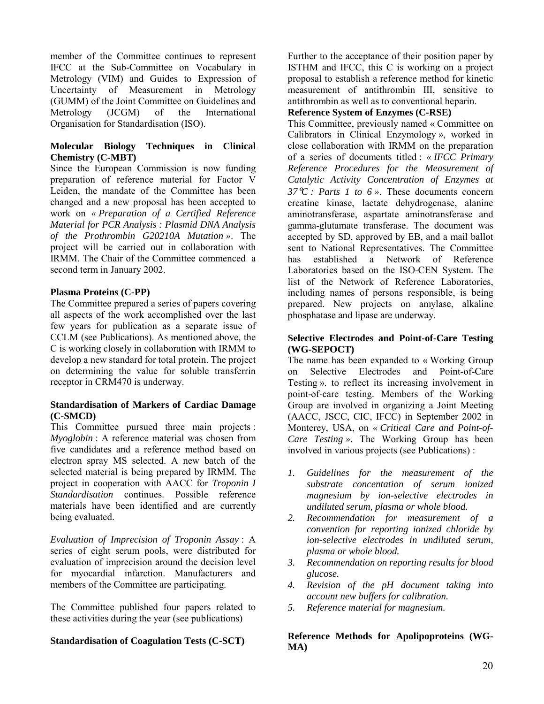member of the Committee continues to represent IFCC at the Sub-Committee on Vocabulary in Metrology (VIM) and Guides to Expression of Uncertainty of Measurement in Metrology (GUMM) of the Joint Committee on Guidelines and Metrology (JCGM) of the International Organisation for Standardisation (ISO).

#### **Molecular Biology Techniques in Clinical Chemistry (C-MBT)**

Since the European Commission is now funding preparation of reference material for Factor V Leiden, the mandate of the Committee has been changed and a new proposal has been accepted to work on *« Preparation of a Certified Reference Material for PCR Analysis : Plasmid DNA Analysis of the Prothrombin G20210A Mutation »*. The project will be carried out in collaboration with IRMM. The Chair of the Committee commenced a second term in January 2002.

#### **Plasma Proteins (C-PP)**

The Committee prepared a series of papers covering all aspects of the work accomplished over the last few years for publication as a separate issue of CCLM (see Publications). As mentioned above, the C is working closely in collaboration with IRMM to develop a new standard for total protein. The project on determining the value for soluble transferrin receptor in CRM470 is underway.

#### **Standardisation of Markers of Cardiac Damage (C-SMCD)**

This Committee pursued three main projects : *Myoglobin* : A reference material was chosen from five candidates and a reference method based on electron spray MS selected. A new batch of the selected material is being prepared by IRMM. The project in cooperation with AACC for *Troponin I Standardisation* continues. Possible reference materials have been identified and are currently being evaluated.

*Evaluation of Imprecision of Troponin Assay* : A series of eight serum pools, were distributed for evaluation of imprecision around the decision level for myocardial infarction. Manufacturers and members of the Committee are participating.

The Committee published four papers related to these activities during the year (see publications)

#### **Standardisation of Coagulation Tests (C-SCT)**

Further to the acceptance of their position paper by ISTHM and IFCC, this C is working on a project proposal to establish a reference method for kinetic measurement of antithrombin III, sensitive to antithrombin as well as to conventional heparin.

#### **Reference System of Enzymes (C-RSE)**

This Committee, previously named « Committee on Calibrators in Clinical Enzymology  $\lambda$ , worked in close collaboration with IRMM on the preparation of a series of documents titled : *« IFCC Primary Reference Procedures for the Measurement of Catalytic Activity Concentration of Enzymes at 37*°*C : Parts 1 to 6 »*. These documents concern creatine kinase, lactate dehydrogenase, alanine aminotransferase, aspartate aminotransferase and gamma-glutamate transferase. The document was accepted by SD, approved by EB, and a mail ballot sent to National Representatives. The Committee has established a Network of Reference Laboratories based on the ISO-CEN System. The list of the Network of Reference Laboratories, including names of persons responsible, is being prepared. New projects on amylase, alkaline phosphatase and lipase are underway.

#### **Selective Electrodes and Point-of-Care Testing (WG-SEPOCT)**

The name has been expanded to  $\ll$  Working Group on Selective Electrodes and Point-of-Care Testing », to reflect its increasing involvement in point-of-care testing. Members of the Working Group are involved in organizing a Joint Meeting (AACC, JSCC, CIC, IFCC) in September 2002 in Monterey, USA, on *« Critical Care and Point-of-Care Testing »*. The Working Group has been involved in various projects (see Publications) :

- *1. Guidelines for the measurement of the substrate concentation of serum ionized magnesium by ion-selective electrodes in undiluted serum, plasma or whole blood.*
- *2. Recommendation for measurement of a convention for reporting ionized chloride by ion-selective electrodes in undiluted serum, plasma or whole blood.*
- *3. Recommendation on reporting results for blood glucose.*
- *4. Revision of the pH document taking into account new buffers for calibration.*
- *5. Reference material for magnesium.*

**Reference Methods for Apolipoproteins (WG-MA)**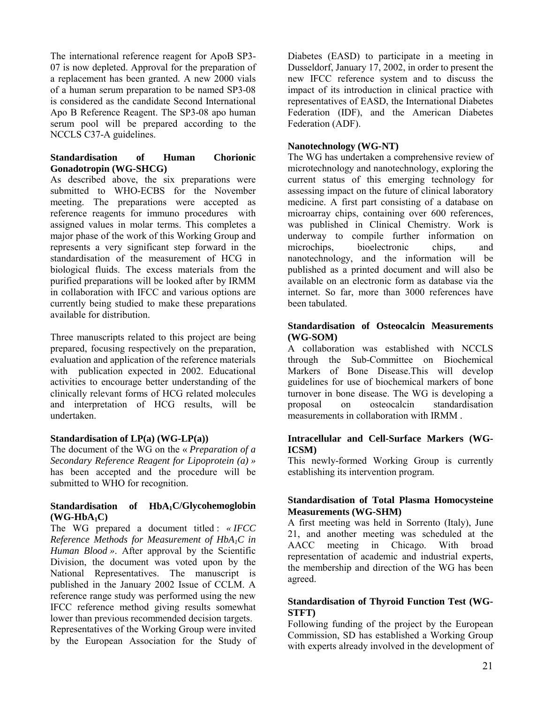The international reference reagent for ApoB SP3- 07 is now depleted. Approval for the preparation of a replacement has been granted. A new 2000 vials of a human serum preparation to be named SP3-08 is considered as the candidate Second International Apo B Reference Reagent. The SP3-08 apo human serum pool will be prepared according to the NCCLS C37-A guidelines.

#### **Standardisation of Human Chorionic Gonadotropin (WG-SHCG)**

As described above, the six preparations were submitted to WHO-ECBS for the November meeting. The preparations were accepted as reference reagents for immuno procedures with assigned values in molar terms. This completes a major phase of the work of this Working Group and represents a very significant step forward in the standardisation of the measurement of HCG in biological fluids. The excess materials from the purified preparations will be looked after by IRMM in collaboration with IFCC and various options are currently being studied to make these preparations available for distribution.

Three manuscripts related to this project are being prepared, focusing respectively on the preparation, evaluation and application of the reference materials with publication expected in 2002. Educational activities to encourage better understanding of the clinically relevant forms of HCG related molecules and interpretation of HCG results, will be undertaken.

#### **Standardisation of LP(a) (WG-LP(a))**

The document of the WG on the « *Preparation of a Secondary Reference Reagent for Lipoprotein (a) »* has been accepted and the procedure will be submitted to WHO for recognition.

#### Standardisation of HbA<sub>1</sub>C/Glycohemoglobin  $(WG-HbA_1C)$

The WG prepared a document titled : *« IFCC Reference Methods for Measurement of HbA1C in Human Blood »*. After approval by the Scientific Division, the document was voted upon by the National Representatives. The manuscript is published in the January 2002 Issue of CCLM. A reference range study was performed using the new IFCC reference method giving results somewhat lower than previous recommended decision targets.

Representatives of the Working Group were invited by the European Association for the Study of Diabetes (EASD) to participate in a meeting in Dusseldorf, January 17, 2002, in order to present the new IFCC reference system and to discuss the impact of its introduction in clinical practice with representatives of EASD, the International Diabetes Federation (IDF), and the American Diabetes Federation (ADF).

#### **Nanotechnology (WG-NT)**

The WG has undertaken a comprehensive review of microtechnology and nanotechnology, exploring the current status of this emerging technology for assessing impact on the future of clinical laboratory medicine. A first part consisting of a database on microarray chips, containing over 600 references, was published in Clinical Chemistry. Work is underway to compile further information on microchips, bioelectronic chips, and nanotechnology, and the information will be published as a printed document and will also be available on an electronic form as database via the internet. So far, more than 3000 references have been tabulated.

#### **Standardisation of Osteocalcin Measurements (WG-SOM)**

A collaboration was established with NCCLS through the Sub-Committee on Biochemical Markers of Bone Disease.This will develop guidelines for use of biochemical markers of bone turnover in bone disease. The WG is developing a proposal on osteocalcin standardisation measurements in collaboration with IRMM *.* 

#### **Intracellular and Cell-Surface Markers (WG-ICSM)**

This newly-formed Working Group is currently establishing its intervention program.

#### **Standardisation of Total Plasma Homocysteine Measurements (WG-SHM)**

A first meeting was held in Sorrento (Italy), June 21, and another meeting was scheduled at the AACC meeting in Chicago. With broad representation of academic and industrial experts, the membership and direction of the WG has been agreed.

#### **Standardisation of Thyroid Function Test (WG-STFT)**

Following funding of the project by the European Commission, SD has established a Working Group with experts already involved in the development of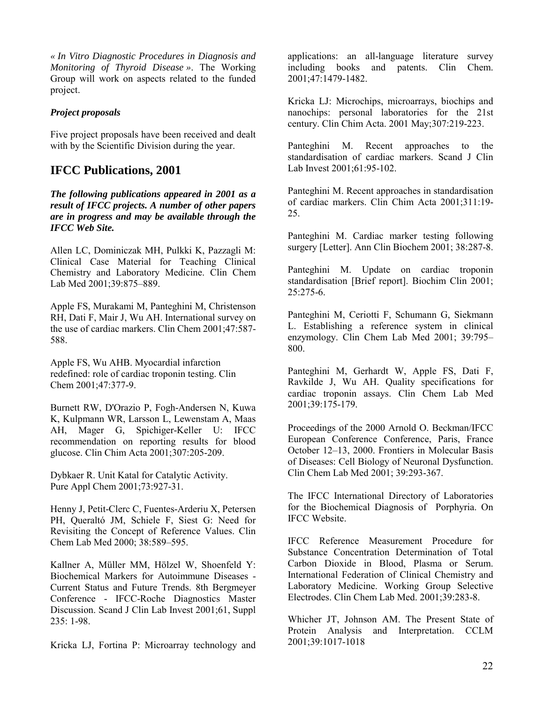*« In Vitro Diagnostic Procedures in Diagnosis and Monitoring of Thyroid Disease »*. The Working Group will work on aspects related to the funded project.

#### *Project proposals*

Five project proposals have been received and dealt with by the Scientific Division during the year.

# **IFCC Publications, 2001**

*The following publications appeared in 2001 as a result of IFCC projects. A number of other papers are in progress and may be available through the IFCC Web Site.* 

Allen LC, Dominiczak MH, Pulkki K, Pazzagli M: Clinical Case Material for Teaching Clinical Chemistry and Laboratory Medicine. Clin Chem Lab Med 2001;39:875-889.

Apple FS, Murakami M, Panteghini M, Christenson RH, Dati F, Mair J, Wu AH. International survey on the use of cardiac markers. Clin Chem 2001;47:587- 588.

Apple FS, Wu AHB. Myocardial infarction redefined: role of cardiac troponin testing. Clin Chem 2001;47:377-9.

Burnett RW, D'Orazio P, Fogh-Andersen N, Kuwa K, Kulpmann WR, Larsson L, Lewenstam A, Maas AH, Mager G, Spichiger-Keller U: IFCC recommendation on reporting results for blood glucose. Clin Chim Acta 2001;307:205-209.

Dybkaer R. Unit Katal for Catalytic Activity. Pure Appl Chem 2001;73:927-31.

Henny J, Petit-Clerc C, Fuentes-Arderiu X, Petersen PH, Queraltó JM, Schiele F, Siest G: Need for Revisiting the Concept of Reference Values. Clin Chem Lab Med 2000; 38:589-595.

Kallner A, Müller MM, Hölzel W, Shoenfeld Y: Biochemical Markers for Autoimmune Diseases - Current Status and Future Trends. 8th Bergmeyer Conference - IFCC-Roche Diagnostics Master Discussion. Scand J Clin Lab Invest 2001;61, Suppl 235: 1-98.

Kricka LJ, Fortina P: Microarray technology and

applications: an all-language literature survey including books and patents. Clin Chem. 2001;47:1479-1482.

Kricka LJ: Microchips, microarrays, biochips and nanochips: personal laboratories for the 21st century. Clin Chim Acta. 2001 May;307:219-223.

Panteghini M. Recent approaches to the standardisation of cardiac markers. Scand J Clin Lab Invest 2001;61:95-102.

Panteghini M. Recent approaches in standardisation of cardiac markers. Clin Chim Acta 2001;311:19- 25.

Panteghini M. Cardiac marker testing following surgery [Letter]. Ann Clin Biochem 2001; 38:287-8.

Panteghini M. Update on cardiac troponin standardisation [Brief report]. Biochim Clin 2001; 25:275-6.

Panteghini M, Ceriotti F, Schumann G, Siekmann L. Establishing a reference system in clinical enzymology. Clin Chem Lab Med  $2001$ ; 39:795– 800.

Panteghini M, Gerhardt W, Apple FS, Dati F, Ravkilde J, Wu AH. Quality specifications for cardiac troponin assays. Clin Chem Lab Med 2001;39:175-179.

Proceedings of the 2000 Arnold O. Beckman/IFCC European Conference Conference, Paris, France October 12–13, 2000. Frontiers in Molecular Basis of Diseases: Cell Biology of Neuronal Dysfunction. Clin Chem Lab Med 2001; 39:293-367.

The IFCC International Directory of Laboratories for the Biochemical Diagnosis of Porphyria. On IFCC Website.

IFCC Reference Measurement Procedure for Substance Concentration Determination of Total Carbon Dioxide in Blood, Plasma or Serum. International Federation of Clinical Chemistry and Laboratory Medicine. Working Group Selective Electrodes. Clin Chem Lab Med. 2001;39:283-8.

Whicher JT, Johnson AM. The Present State of Protein Analysis and Interpretation. CCLM 2001;39:1017-1018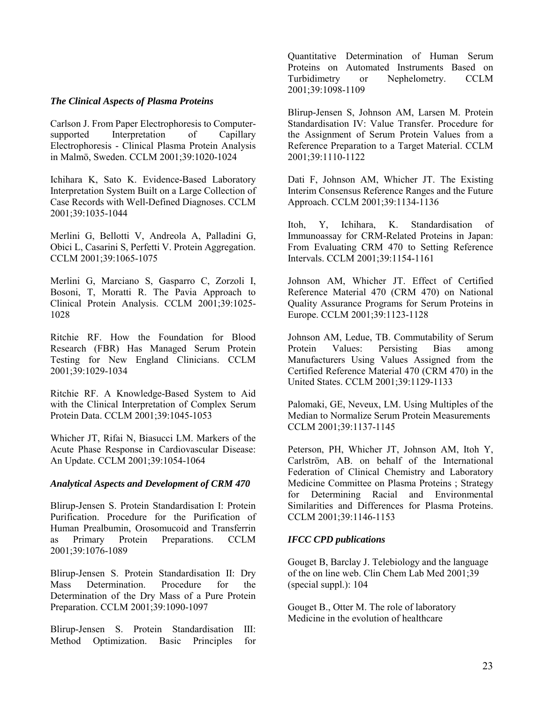#### *The Clinical Aspects of Plasma Proteins*

Carlson J. From Paper Electrophoresis to Computersupported Interpretation of Capillary Electrophoresis - Clinical Plasma Protein Analysis in Malmö, Sweden. CCLM 2001;39:1020-1024

Ichihara K, Sato K. Evidence-Based Laboratory Interpretation System Built on a Large Collection of Case Records with Well-Defined Diagnoses. CCLM 2001;39:1035-1044

Merlini G, Bellotti V, Andreola A, Palladini G, Obici L, Casarini S, Perfetti V. Protein Aggregation. CCLM 2001;39:1065-1075

Merlini G, Marciano S, Gasparro C, Zorzoli I, Bosoni, T, Moratti R. The Pavia Approach to Clinical Protein Analysis. CCLM 2001;39:1025- 1028

Ritchie RF. How the Foundation for Blood Research (FBR) Has Managed Serum Protein Testing for New England Clinicians. CCLM 2001;39:1029-1034

Ritchie RF. A Knowledge-Based System to Aid with the Clinical Interpretation of Complex Serum Protein Data. CCLM 2001;39:1045-1053

Whicher JT, Rifai N, Biasucci LM. Markers of the Acute Phase Response in Cardiovascular Disease: An Update. CCLM 2001;39:1054-1064

#### *Analytical Aspects and Development of CRM 470*

Blirup-Jensen S. Protein Standardisation I: Protein Purification. Procedure for the Purification of Human Prealbumin, Orosomucoid and Transferrin as Primary Protein Preparations. CCLM 2001;39:1076-1089

Blirup-Jensen S. Protein Standardisation II: Dry Mass Determination. Procedure for the Determination of the Dry Mass of a Pure Protein Preparation. CCLM 2001;39:1090-1097

Blirup-Jensen S. Protein Standardisation III: Method Optimization. Basic Principles for Quantitative Determination of Human Serum Proteins on Automated Instruments Based on Turbidimetry or Nephelometry. CCLM 2001;39:1098-1109

Blirup-Jensen S, Johnson AM, Larsen M. Protein Standardisation IV: Value Transfer. Procedure for the Assignment of Serum Protein Values from a Reference Preparation to a Target Material. CCLM 2001;39:1110-1122

Dati F, Johnson AM, Whicher JT. The Existing Interim Consensus Reference Ranges and the Future Approach. CCLM 2001;39:1134-1136

Itoh, Y, Ichihara, K. Standardisation of Immunoassay for CRM-Related Proteins in Japan: From Evaluating CRM 470 to Setting Reference Intervals. CCLM 2001;39:1154-1161

Johnson AM, Whicher JT. Effect of Certified Reference Material 470 (CRM 470) on National Quality Assurance Programs for Serum Proteins in Europe. CCLM 2001;39:1123-1128

Johnson AM, Ledue, TB. Commutability of Serum Protein Values: Persisting Bias among Manufacturers Using Values Assigned from the Certified Reference Material 470 (CRM 470) in the United States. CCLM 2001;39:1129-1133

Palomaki, GE, Neveux, LM. Using Multiples of the Median to Normalize Serum Protein Measurements CCLM 2001;39:1137-1145

Peterson, PH, Whicher JT, Johnson AM, Itoh Y, Carlström, AB. on behalf of the International Federation of Clinical Chemistry and Laboratory Medicine Committee on Plasma Proteins ; Strategy for Determining Racial and Environmental Similarities and Differences for Plasma Proteins. CCLM 2001;39:1146-1153

#### *IFCC CPD publications*

Gouget B, Barclay J. Telebiology and the language of the on line web. Clin Chem Lab Med 2001;39 (special suppl.): 104

Gouget B., Otter M. The role of laboratory Medicine in the evolution of healthcare